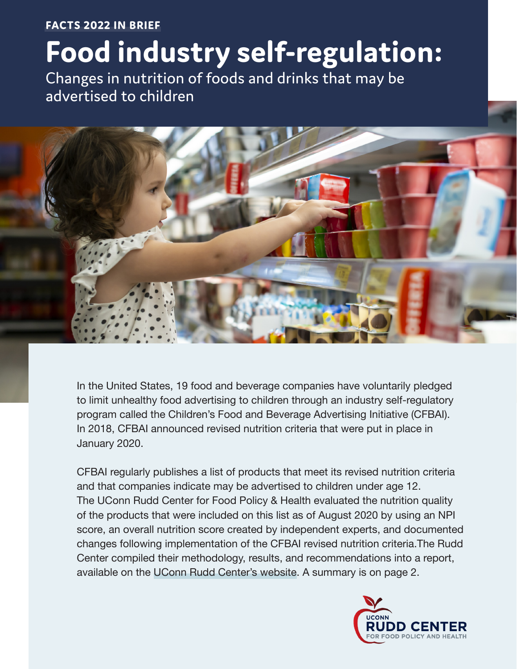# **FACTS 2022 IN BRIEF Food industry self-regulation:**

Changes in nutrition of foods and drinks that may be advertised to children



In the United States, 19 food and beverage companies have voluntarily pledged to limit unhealthy food advertising to children through an industry self-regulatory program called the Children's Food and Beverage Advertising Initiative (CFBAI). In 2018, CFBAI announced revised nutrition criteria that were put in place in January 2020.

CFBAI regularly publishes a list of products that meet its revised nutrition criteria and that companies indicate may be advertised to children under age 12. The UConn Rudd Center for Food Policy & Health evaluated the nutrition quality of the products that were included on this list as of August 2020 by using an NPI score, an overall nutrition score created by independent experts, and documented changes following implementation of the CFBAI revised nutrition criteria.The Rudd Center compiled their methodology, results, and recommendations into a report, available on the [UConn Rudd Center's website](https://media.ruddcenter.uconn.edu/PDFs/FACTS2022.pdf). A summary is on page 2.